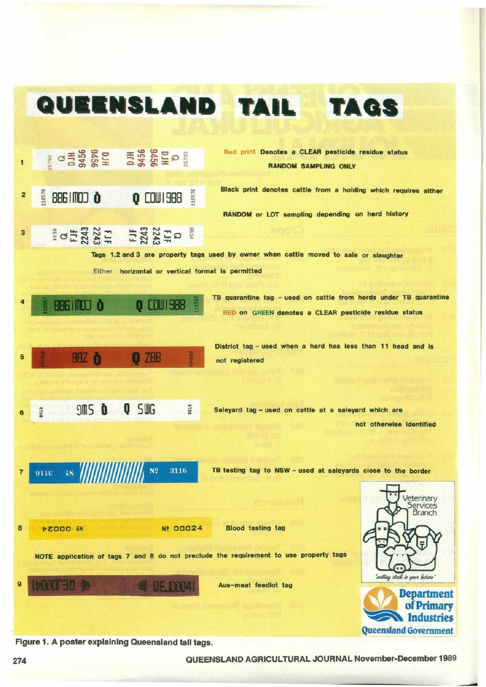

Figure 1 . A poster explaining Queensland tall tags.

274 QUEENSLAND AGRICULTURAL JOURNAL November-December 1989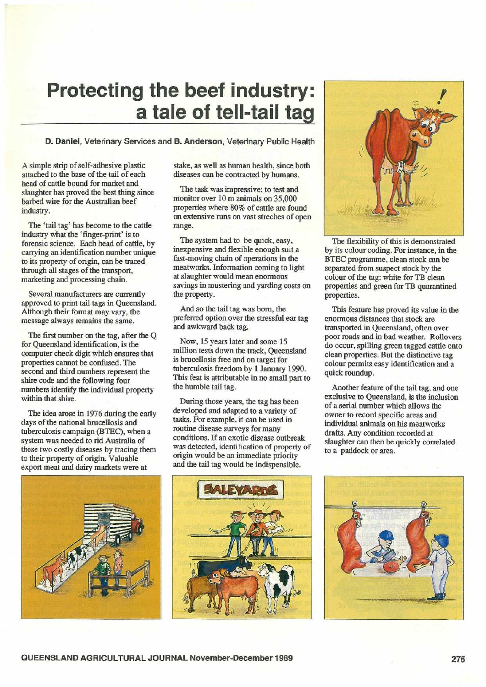## Protecting the beef industry : a tale of tell-tail tag

## D. Daniel, Veterinary Services and B. Anderson, Veterinary Public Health

A simple strip of self-adhesive plastic attached to the base of the tail of each head of cattle bound for market and slaughter has proved the best thing since barbed wire for the Australian beef industry.

The 'tail tag' has become to the cattle industry what the 'finger-print' is to forensic science. Each head of cattle, by carrying an identification number unique to its property of origin, can be traced through all stages of the transport, marketing and processing chain.

Several manufacturers are currently approved to print tail tags in Queensland. Although their format may vary, the message always remains the same.

The first number on the tag, after the Q for Queensland identification, is the computer check digit which ensures that properties cannot be confused. The second and third numbers represent the shire code and the following four numbers identify the individual property within that shire.

The idea arose in 1976 during the early days of the national brucellosis and tuberculosis campaign (BTEC), when a system was needed to rid Australia of these two costly diseases by tracing them to their property of origin. Valuable export meat and dairy markets were at

stake, as well as human health, since both diseases can be contracted by humans.

The task was impressive: to test and monitor over 10 m animals on 35,000 properties where 80% of cattle are found on extensive runs on vast streches of open range.

The system had to be quick, easy, inexpensive and flexible enough suit a fast-moving chain of operations in the meatworks. Information coming to light at slaughter would mean enormous savings in mustering and yarding costs on the property.

And so the tail tag was born, the preferred option over the stressful ear tag and awkward back tag.

Now, 15 years later and some 15 million tests down the track, Queensland is brucellosis free and on target for tuberculosis freedom by l January 1990. This feat is attributable in no small part to the humble tail tag.

During those years, the tag has been developed and adapted to a variety of tasks. For example, it can be used in routine disease surveys for many conditions. If an exotic disease outbreak was detected, identification of property of origin would be an immediate priority and the tail tag would be indispensible.



The flexibility of this is demonstrated by its colour coding. For instance, in the BTEC programme, clean stock can be separated from suspect stock by the colour of the tag: white for TB clean properties and green for TB quarantined properties.

This feature has proved its value in the enormous distances that stock are transported in Queensland, often over poor roads and in bad weather. Rollovers do occur, spilling green tagged cattle onto clean properties. But the distinctive tag colour permits easy identification and a quick roundup.

Another feature of the tail tag, and one exclusive to Queensland, is the inclusion of a serial number which allows the owner to record specific areas and individual animals on his meatworks drafts. Any condition recorded at slaughter can then be quickly correlated to a paddock or area.